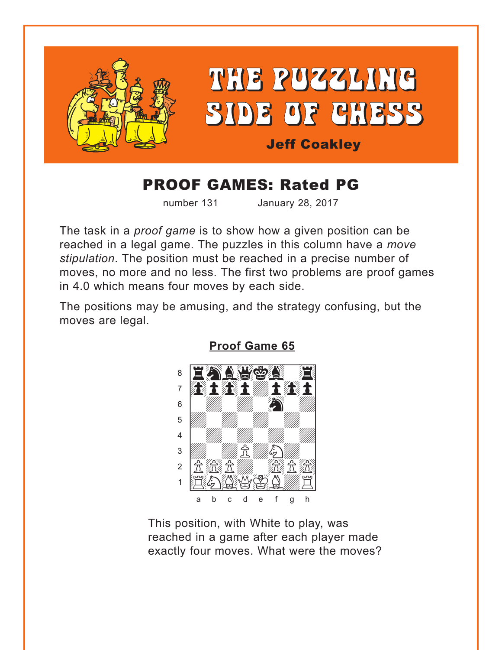<span id="page-0-0"></span>

# **PROOF GAMES: Rated PG**

number 131

January 28, 2017

The task in a *proof game* is to show how a given position can be reached in a legal game. The puzzles in this column have a move stipulation. The position must be reached in a precise number of moves, no more and no less. The first two problems are proof games in 4.0 which means four moves by each side.

The positions may be amusing, and the strategy confusing, but the moves are legal.



**Proof Game 65** 

This position, with White to play, was reached in a game after each player made exactly four moves. What were the moves?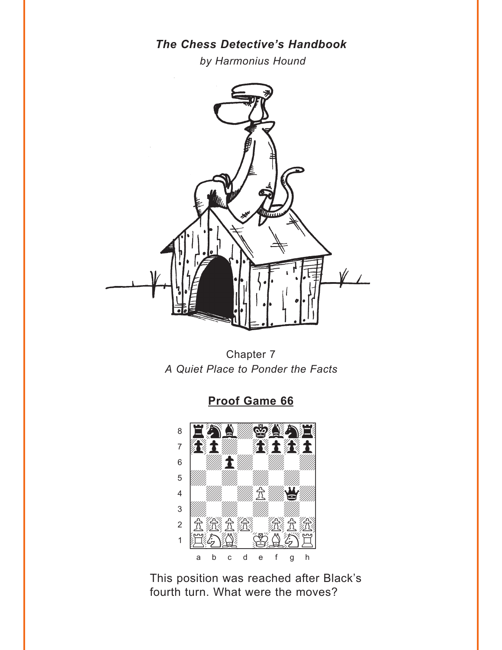### The Chess Detective's Handbook

by Harmonius Hound

<span id="page-1-0"></span>

Chapter 7 A Quiet Place to Ponder the Facts

### **Proof Game 66**



This position was reached after Black's fourth turn. What were the moves?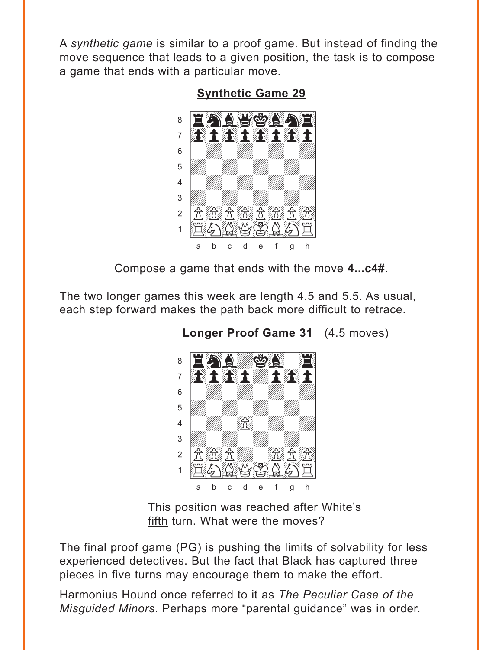<span id="page-2-0"></span>A *synthetic game* is similar to a proof game. But instead of finding the move sequence that leads to a given position, the task is to compose a game that ends with a particular move.



**[Synthetic Game 29](#page-4-0)**

Compose a game that ends with the move **4...c4#**.

The two longer games this week are length 4.5 and 5.5. As usual, each step forward makes the path back more difficult to retrace.



**[Longer Proof Game 31](#page-5-0)** (4.5 moves)

This position was reached after White's fifth turn. What were the moves?

The final proof game (PG) is pushing the limits of solvability for less experienced detectives. But the fact that Black has captured three pieces in five turns may encourage them to make the effort.

Harmonius Hound once referred to it as *The Peculiar Case of the Misguided Minors*. Perhaps more "parental guidance" was in order.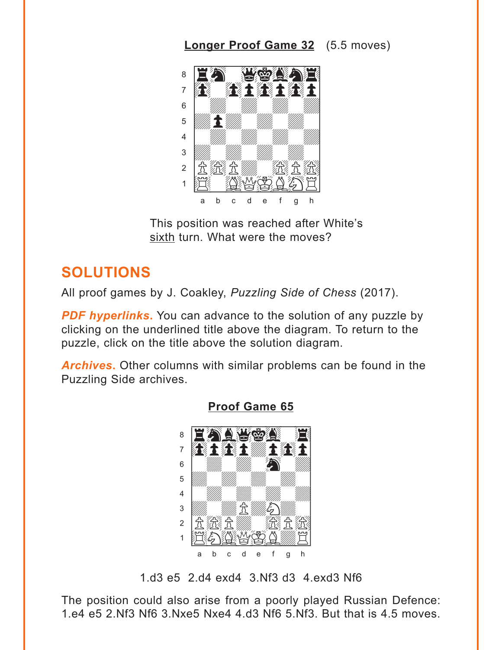## **[Longer Proof Game 32](#page-5-0)** (5.5 moves)

<span id="page-3-0"></span>

This position was reached after White's sixth turn. What were the moves?

## **SOLUTIONS**

All proof games by J. Coakley, *Puzzling Side of Chess* (2017).

**PDF hyperlinks.** You can advance to the solution of any puzzle by clicking on the underlined title above the diagram. To return to the puzzle, click on the title above the solution diagram.

*Archives***.** Other columns with similar problems can be found in the Puzzling Side archives.



#### **[Proof Game 65](#page-0-0)**

1.d3 e5 2.d4 exd4 3.Nf3 d3 4.exd3 Nf6

The position could also arise from a poorly played Russian Defence: 1.e4 e5 2.Nf3 Nf6 3.Nxe5 Nxe4 4.d3 Nf6 5.Nf3. But that is 4.5 moves.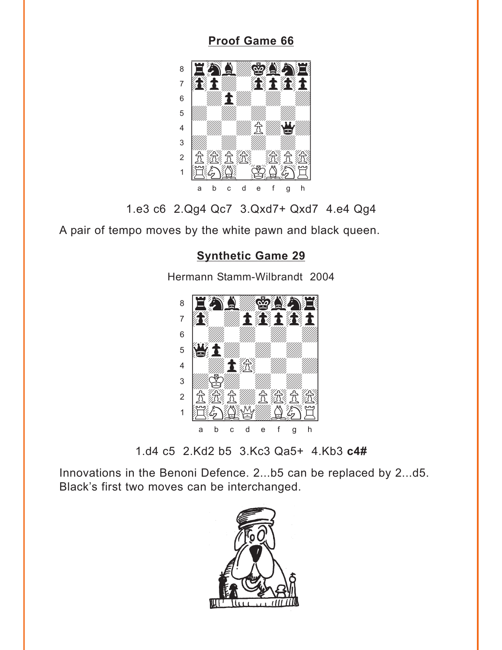### **[Proof Game 66](#page-1-0)**

<span id="page-4-0"></span>

1.e3 c6 2.Qg4 Qc7 3.Qxd7+ Qxd7 4.e4 Qg4

A pair of tempo moves by the white pawn and black queen.

## **[Synthetic Game 29](#page-2-0)**

Hermann Stamm-Wilbrandt 2004



1.d4 c5 2.Kd2 b5 3.Kc3 Qa5+ 4.Kb3 **c4#**

Innovations in the Benoni Defence. 2...b5 can be replaced by 2...d5. Black's first two moves can be interchanged.